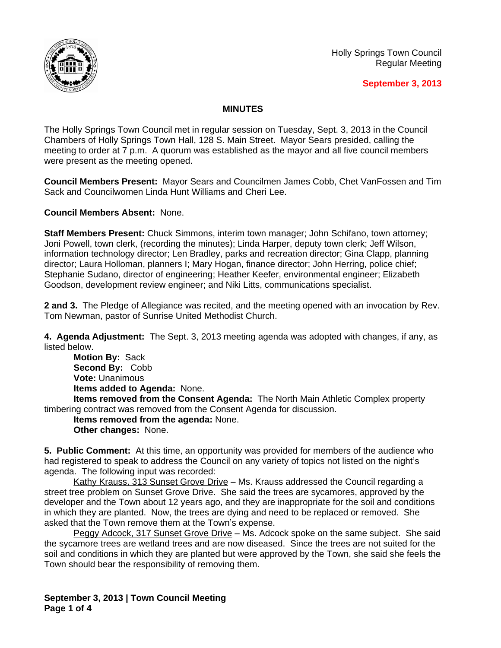

## **September 3, 2013**

## **MINUTES**

The Holly Springs Town Council met in regular session on Tuesday, Sept. 3, 2013 in the Council Chambers of Holly Springs Town Hall, 128 S. Main Street. Mayor Sears presided, calling the meeting to order at 7 p.m. A quorum was established as the mayor and all five council members were present as the meeting opened.

**Council Members Present:** Mayor Sears and Councilmen James Cobb, Chet VanFossen and Tim Sack and Councilwomen Linda Hunt Williams and Cheri Lee.

**Council Members Absent:** None.

**Staff Members Present:** Chuck Simmons, interim town manager; John Schifano, town attorney; Joni Powell, town clerk, (recording the minutes); Linda Harper, deputy town clerk; Jeff Wilson, information technology director; Len Bradley, parks and recreation director; Gina Clapp, planning director; Laura Holloman, planners I; Mary Hogan, finance director; John Herring, police chief; Stephanie Sudano, director of engineering; Heather Keefer, environmental engineer; Elizabeth Goodson, development review engineer; and Niki Litts, communications specialist.

**2 and 3.** The Pledge of Allegiance was recited, and the meeting opened with an invocation by Rev. Tom Newman, pastor of Sunrise United Methodist Church.

**4. Agenda Adjustment:** The Sept. 3, 2013 meeting agenda was adopted with changes, if any, as listed below.

**Motion By:** Sack **Second By:** Cobb **Vote:** Unanimous **Items added to Agenda:** None.

**Items removed from the Consent Agenda:** The North Main Athletic Complex property timbering contract was removed from the Consent Agenda for discussion.

**Items removed from the agenda:** None. **Other changes:** None.

**5. Public Comment:** At this time, an opportunity was provided for members of the audience who had registered to speak to address the Council on any variety of topics not listed on the night's agenda. The following input was recorded:

Kathy Krauss, 313 Sunset Grove Drive - Ms. Krauss addressed the Council regarding a street tree problem on Sunset Grove Drive. She said the trees are sycamores, approved by the developer and the Town about 12 years ago, and they are inappropriate for the soil and conditions in which they are planted. Now, the trees are dying and need to be replaced or removed. She asked that the Town remove them at the Town's expense.

Peggy Adcock, 317 Sunset Grove Drive – Ms. Adcock spoke on the same subject. She said the sycamore trees are wetland trees and are now diseased. Since the trees are not suited for the soil and conditions in which they are planted but were approved by the Town, she said she feels the Town should bear the responsibility of removing them.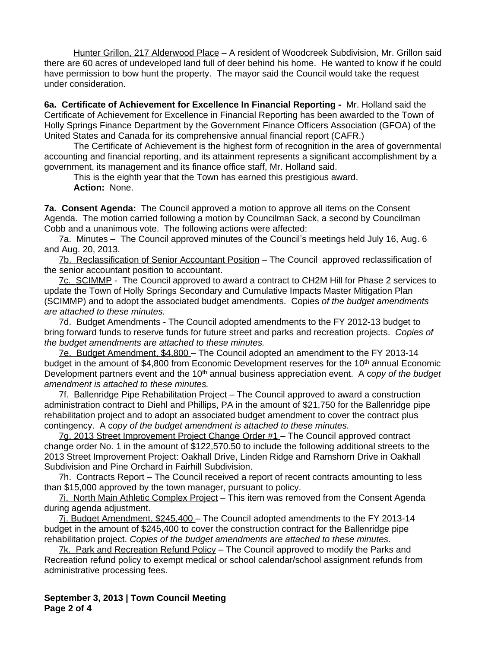Hunter Grillon, 217 Alderwood Place – A resident of Woodcreek Subdivision, Mr. Grillon said there are 60 acres of undeveloped land full of deer behind his home. He wanted to know if he could have permission to bow hunt the property. The mayor said the Council would take the request under consideration.

**6a. Certificate of Achievement for Excellence In Financial Reporting -** Mr. Holland said the Certificate of Achievement for Excellence in Financial Reporting has been awarded to the Town of Holly Springs Finance Department by the Government Finance Officers Association (GFOA) of the United States and Canada for its comprehensive annual financial report (CAFR.)

The Certificate of Achievement is the highest form of recognition in the area of governmental accounting and financial reporting, and its attainment represents a significant accomplishment by a government, its management and its finance office staff, Mr. Holland said.

This is the eighth year that the Town has earned this prestigious award. **Action:** None.

**7a. Consent Agenda:** The Council approved a motion to approve all items on the Consent Agenda. The motion carried following a motion by Councilman Sack, a second by Councilman Cobb and a unanimous vote. The following actions were affected:

7a. Minutes – The Council approved minutes of the Council's meetings held July 16, Aug. 6 and Aug. 20, 2013*.*

7b. Reclassification of Senior Accountant Position – The Council approved reclassification of the senior accountant position to accountant.

7c. SCIMMP - The Council approved to award a contract to CH2M Hill for Phase 2 services to update the Town of Holly Springs Secondary and Cumulative Impacts Master Mitigation Plan (SCIMMP) and to adopt the associated budget amendments. Copies *of the budget amendments are attached to these minutes.*

7d. Budget Amendments - The Council adopted amendments to the FY 2012-13 budget to bring forward funds to reserve funds for future street and parks and recreation projects. *Copies of the budget amendments are attached to these minutes.*

7e. Budget Amendment, \$4,800 – The Council adopted an amendment to the FY 2013-14 budget in the amount of \$4,800 from Economic Development reserves for the 10<sup>th</sup> annual Economic Development partners event and the 10th annual business appreciation event.A c*opy of the budget amendment is attached to these minutes.*

7f. Ballenridge Pipe Rehabilitation Project – The Council approved to award a construction administration contract to Diehl and Phillips, PA in the amount of \$21,750 for the Ballenridge pipe rehabilitation project and to adopt an associated budget amendment to cover the contract plus contingency.A c*opy of the budget amendment is attached to these minutes.*

7g. 2013 Street Improvement Project Change Order #1 – The Council approved contract change order No. 1 in the amount of \$122,570.50 to include the following additional streets to the 2013 Street Improvement Project: Oakhall Drive, Linden Ridge and Ramshorn Drive in Oakhall Subdivision and Pine Orchard in Fairhill Subdivision.

7h. Contracts Report – The Council received a report of recent contracts amounting to less than \$15,000 approved by the town manager, pursuant to policy.

7i. North Main Athletic Complex Project – This item was removed from the Consent Agenda during agenda adjustment.

7j. Budget Amendment, \$245,400 – The Council adopted amendments to the FY 2013-14 budget in the amount of \$245,400 to cover the construction contract for the Ballenridge pipe rehabilitation project. *Copies of the budget amendments are attached to these minutes.*

7k. Park and Recreation Refund Policy – The Council approved to modify the Parks and Recreation refund policy to exempt medical or school calendar/school assignment refunds from administrative processing fees.

**September 3, 2013 | Town Council Meeting Page 2 of 4**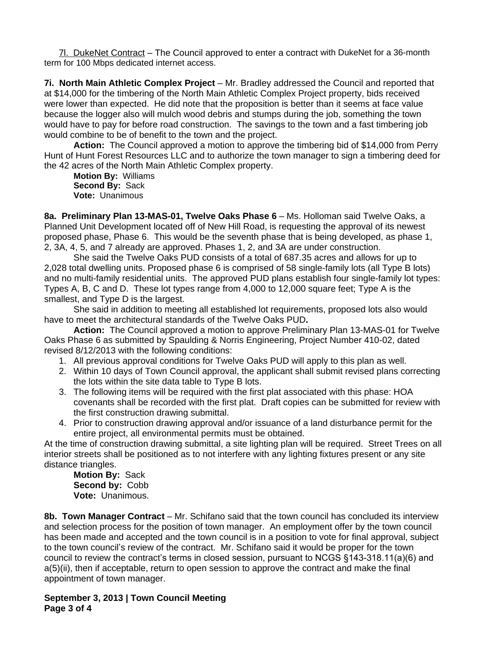7l. DukeNet Contract – The Council approved to enter a contract with DukeNet for a 36-month term for 100 Mbps dedicated internet access.

**7i. North Main Athletic Complex Project** – Mr. Bradley addressed the Council and reported that at \$14,000 for the timbering of the North Main Athletic Complex Project property, bids received were lower than expected. He did note that the proposition is better than it seems at face value because the logger also will mulch wood debris and stumps during the job, something the town would have to pay for before road construction. The savings to the town and a fast timbering job would combine to be of benefit to the town and the project.

**Action:** The Council approved a motion to approve the timbering bid of \$14,000 from Perry Hunt of Hunt Forest Resources LLC and to authorize the town manager to sign a timbering deed for the 42 acres of the North Main Athletic Complex property.

**Motion By:** Williams **Second By:** Sack **Vote:** Unanimous

**8a. Preliminary Plan 13-MAS-01, Twelve Oaks Phase 6** – Ms. Holloman said Twelve Oaks, a Planned Unit Development located off of New Hill Road, is requesting the approval of its newest proposed phase, Phase 6. This would be the seventh phase that is being developed, as phase 1, 2, 3A, 4, 5, and 7 already are approved. Phases 1, 2, and 3A are under construction.

She said the Twelve Oaks PUD consists of a total of 687.35 acres and allows for up to 2,028 total dwelling units. Proposed phase 6 is comprised of 58 single-family lots (all Type B lots) and no multi-family residential units. The approved PUD plans establish four single-family lot types: Types A, B, C and D. These lot types range from 4,000 to 12,000 square feet; Type A is the smallest, and Type D is the largest.

She said in addition to meeting all established lot requirements, proposed lots also would have to meet the architectural standards of the Twelve Oaks PUD**.**

**Action:** The Council approved a motion to approve Preliminary Plan 13-MAS-01 for Twelve Oaks Phase 6 as submitted by Spaulding & Norris Engineering, Project Number 410-02, dated revised 8/12/2013 with the following conditions:

- 1. All previous approval conditions for Twelve Oaks PUD will apply to this plan as well.
- 2. Within 10 days of Town Council approval, the applicant shall submit revised plans correcting the lots within the site data table to Type B lots.
- 3. The following items will be required with the first plat associated with this phase: HOA covenants shall be recorded with the first plat. Draft copies can be submitted for review with the first construction drawing submittal.
- 4. Prior to construction drawing approval and/or issuance of a land disturbance permit for the entire project, all environmental permits must be obtained.

At the time of construction drawing submittal, a site lighting plan will be required. Street Trees on all interior streets shall be positioned as to not interfere with any lighting fixtures present or any site distance triangles.

**Motion By:** Sack **Second by:** Cobb **Vote:** Unanimous.

**8b. Town Manager Contract** – Mr. Schifano said that the town council has concluded its interview and selection process for the position of town manager. An employment offer by the town council has been made and accepted and the town council is in a position to vote for final approval, subject to the town council's review of the contract. Mr. Schifano said it would be proper for the town council to review the contract's terms in closed session, pursuant to NCGS §143-318.11(a)(6) and a(5)(ii), then if acceptable, return to open session to approve the contract and make the final appointment of town manager.

**September 3, 2013 | Town Council Meeting Page 3 of 4**